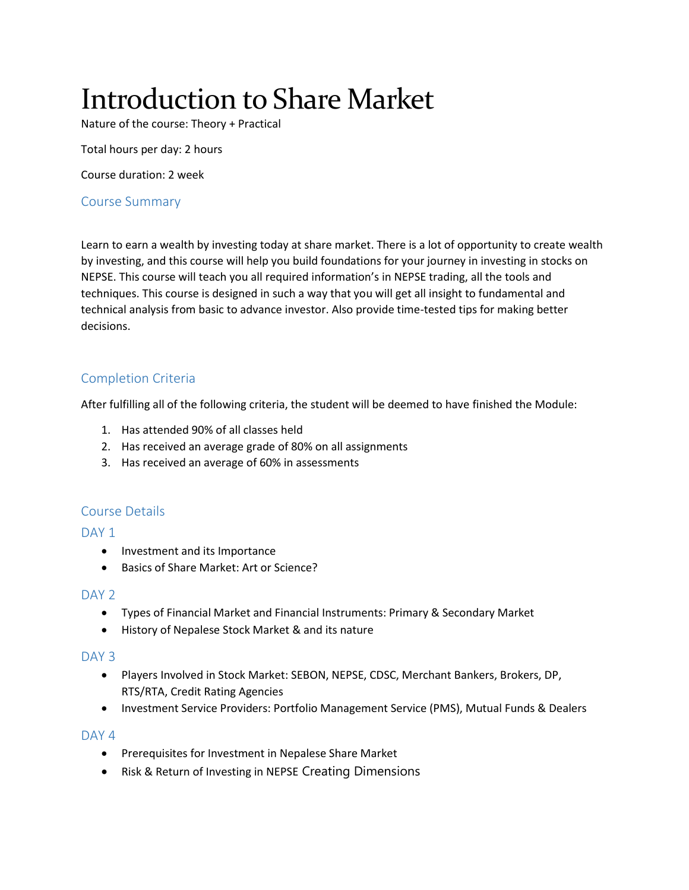# Introduction to Share Market

Nature of the course: Theory + Practical

Total hours per day: 2 hours

Course duration: 2 week

## Course Summary

Learn to earn a wealth by investing today at share market. There is a lot of opportunity to create wealth by investing, and this course will help you build foundations for your journey in investing in stocks on NEPSE. This course will teach you all required information's in NEPSE trading, all the tools and techniques. This course is designed in such a way that you will get all insight to fundamental and technical analysis from basic to advance investor. Also provide time-tested tips for making better decisions.

## Completion Criteria

After fulfilling all of the following criteria, the student will be deemed to have finished the Module:

- 1. Has attended 90% of all classes held
- 2. Has received an average grade of 80% on all assignments
- 3. Has received an average of 60% in assessments

## Course Details

#### DAY<sub>1</sub>

- Investment and its Importance
- Basics of Share Market: Art or Science?

#### DAY<sub>2</sub>

- Types of Financial Market and Financial Instruments: Primary & Secondary Market
- History of Nepalese Stock Market & and its nature

#### DAY<sub>3</sub>

- Players Involved in Stock Market: SEBON, NEPSE, CDSC, Merchant Bankers, Brokers, DP, RTS/RTA, Credit Rating Agencies
- Investment Service Providers: Portfolio Management Service (PMS), Mutual Funds & Dealers

#### $DAY<sub>4</sub>$

- **•** Prerequisites for Investment in Nepalese Share Market
- Risk & Return of Investing in NEPSE Creating Dimensions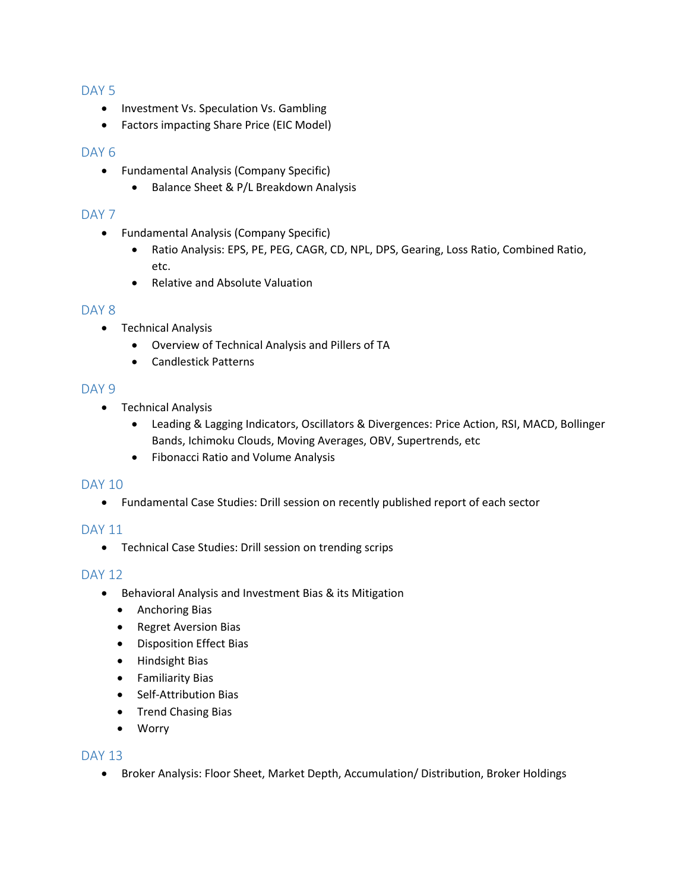#### DAY<sub>5</sub>

- Investment Vs. Speculation Vs. Gambling
- Factors impacting Share Price (EIC Model)

#### DAY<sub>6</sub>

- Fundamental Analysis (Company Specific)
	- Balance Sheet & P/L Breakdown Analysis

#### DAY<sub>7</sub>

- Fundamental Analysis (Company Specific)
	- Ratio Analysis: EPS, PE, PEG, CAGR, CD, NPL, DPS, Gearing, Loss Ratio, Combined Ratio, etc.
	- Relative and Absolute Valuation

#### DAY<sub>8</sub>

- Technical Analysis
	- Overview of Technical Analysis and Pillers of TA
	- Candlestick Patterns

#### DAY 9

- Technical Analysis
	- Leading & Lagging Indicators, Oscillators & Divergences: Price Action, RSI, MACD, Bollinger Bands, Ichimoku Clouds, Moving Averages, OBV, Supertrends, etc
	- Fibonacci Ratio and Volume Analysis

#### DAY 10

Fundamental Case Studies: Drill session on recently published report of each sector

#### DAY 11

Technical Case Studies: Drill session on trending scrips

## DAY 12

- Behavioral Analysis and Investment Bias & its Mitigation
	- Anchoring Bias
	- Regret Aversion Bias
	- Disposition Effect Bias
	- Hindsight Bias
	- Familiarity Bias
	- Self-Attribution Bias
	- Trend Chasing Bias
	- Worry

#### DAY 13

• Broker Analysis: Floor Sheet, Market Depth, Accumulation/ Distribution, Broker Holdings